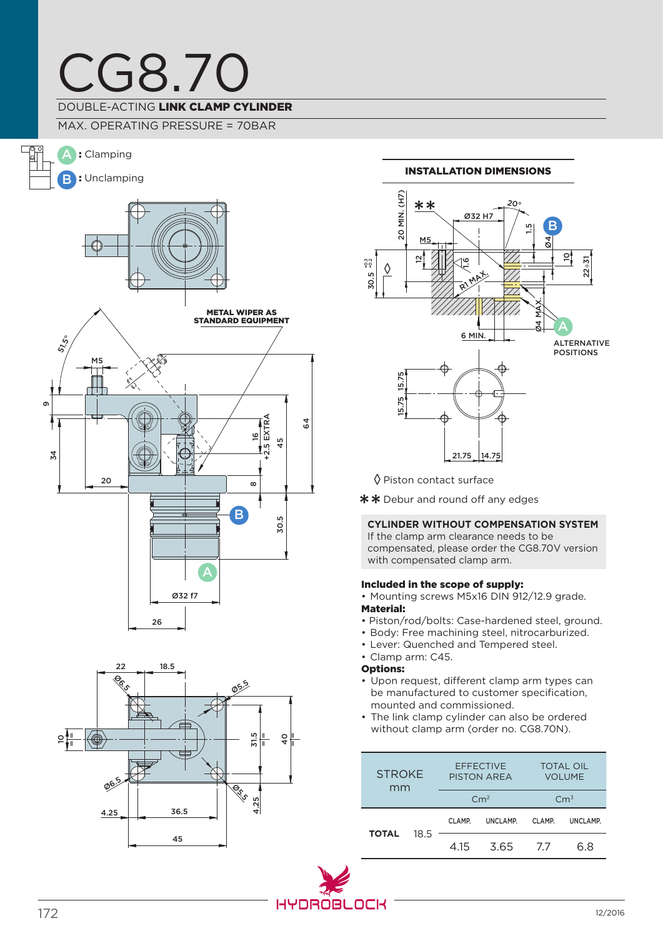## CG8.70 DOUBLE-ACTING LINK CLAMP CYLINDER

### MAX. OPERATING PRESSURE = 70BAR







#### 20 MIN. (H7) 20 MIN. (H7) \*\* 20°Ø32 H7 B 1.5 M Ø4 의 22÷31 12  $\overline{16}$ +0.3 +0.2 ◊ 30.5  $R1$ MAX. Ø4 MAX. A 6 MIN. Alternative positions 15.75 15.75 ₫

Installation dimensions

◊ Piston contact surface

\*\* Debur and round off any edges

### **CYLINDER WITHOUT COMPENSATION SYSTEM**

21.75 14.75

If the clamp arm clearance needs to be compensated, please order the CG8.70V version with compensated clamp arm.

### Included in the scope of supply:

- Mounting screws M5x16 DIN 912/12.9 grade. Material:
- Piston/rod/bolts: Case-hardened steel, ground.
- Body: Free machining steel, nitrocarburized.
- Lever: Quenched and Tempered steel.
- Clamp arm: C45.

### Options:

- Upon request, different clamp arm types can be manufactured to customer specification, mounted and commissioned.
- The link clamp cylinder can also be ordered without clamp arm (order no. CG8.70N).

| <b>STROKE</b><br>mm |      | <b>EFFECTIVE</b><br><b>PISTON AREA</b> |          | <b>TOTAL OIL</b><br><b>VOLUME</b> |          |
|---------------------|------|----------------------------------------|----------|-----------------------------------|----------|
|                     |      | Cm <sup>2</sup>                        |          | $\rm cm^3$                        |          |
| TOTAL               | 18.5 | CLAMP.                                 | UNCLAMP. | CLAMP.                            | UNCLAMP. |
|                     |      | 4.15                                   | 3.65     | 77                                | 68       |